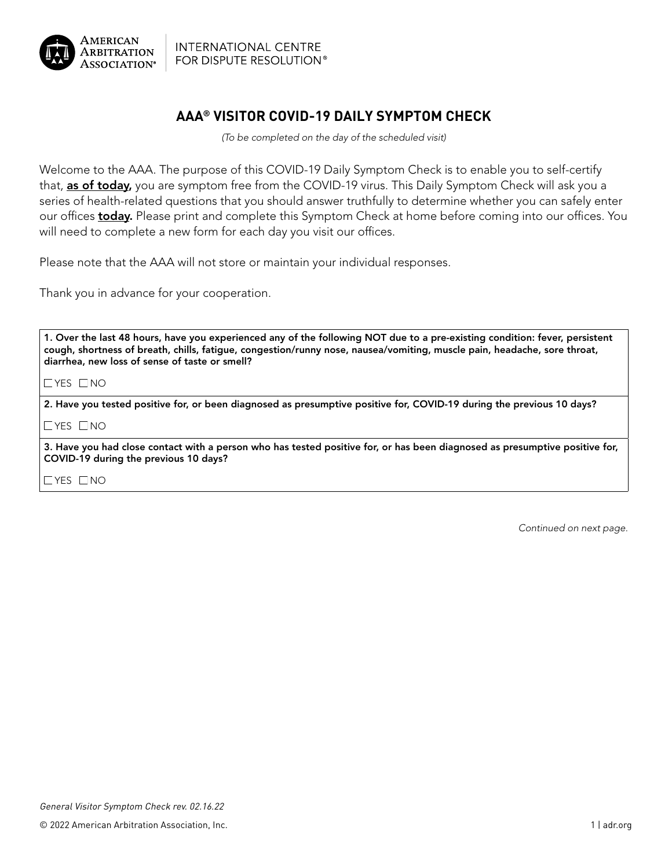

**INTERNATIONAL CENTRE** FOR DISPUTE RESOLUTION®

## **AAA® VISITOR COVID-19 DAILY SYMPTOM CHECK**

*(To be completed on the day of the scheduled visit)*

Welcome to the AAA. The purpose of this COVID-19 Daily Symptom Check is to enable you to self-certify that, **as of today**, you are symptom free from the COVID-19 virus. This Daily Symptom Check will ask you a series of health-related questions that you should answer truthfully to determine whether you can safely enter our offices today. Please print and complete this Symptom Check at home before coming into our offices. You will need to complete a new form for each day you visit our offices.

Please note that the AAA will not store or maintain your individual responses.

Thank you in advance for your cooperation.

1. Over the last 48 hours, have you experienced any of the following NOT due to a pre-existing condition: fever, persistent cough, shortness of breath, chills, fatigue, congestion/runny nose, nausea/vomiting, muscle pain, headache, sore throat, diarrhea, new loss of sense of taste or smell?

 $\Box$ YES  $\Box$ NO

2. Have you tested positive for, or been diagnosed as presumptive positive for, COVID-19 during the previous 10 days?

 $\Box$ YES  $\Box$ NO

3. Have you had close contact with a person who has tested positive for, or has been diagnosed as presumptive positive for, COVID-19 during the previous 10 days?

 $\Box$ YES  $\Box$ NO

*Continued on next page.*